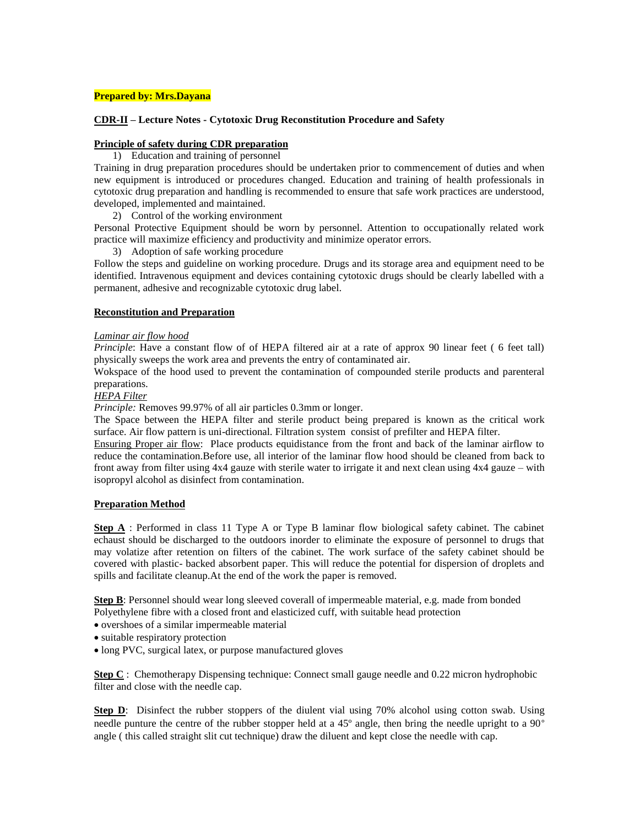## **Prepared by: Mrs.Dayana**

### **CDR-II – Lecture Notes - Cytotoxic Drug Reconstitution Procedure and Safety**

# **Principle of safety during CDR preparation**

1) Education and training of personnel

Training in drug preparation procedures should be undertaken prior to commencement of duties and when new equipment is introduced or procedures changed. Education and training of health professionals in cytotoxic drug preparation and handling is recommended to ensure that safe work practices are understood, developed, implemented and maintained.

2) Control of the working environment

Personal Protective Equipment should be worn by personnel. Attention to occupationally related work practice will maximize efficiency and productivity and minimize operator errors.

3) Adoption of safe working procedure

Follow the steps and guideline on working procedure. Drugs and its storage area and equipment need to be identified. Intravenous equipment and devices containing cytotoxic drugs should be clearly labelled with a permanent, adhesive and recognizable cytotoxic drug label.

#### **Reconstitution and Preparation**

#### *Laminar air flow hood*

*Principle*: Have a constant flow of of HEPA filtered air at a rate of approx 90 linear feet (6 feet tall) physically sweeps the work area and prevents the entry of contaminated air.

Wokspace of the hood used to prevent the contamination of compounded sterile products and parenteral preparations.

# *HEPA Filter*

*Principle:* Removes 99.97% of all air particles 0.3mm or longer.

The Space between the HEPA filter and sterile product being prepared is known as the critical work surface. Air flow pattern is uni-directional. Filtration system consist of prefilter and HEPA filter.

Ensuring Proper air flow: Place products equidistance from the front and back of the laminar airflow to reduce the contamination.Before use, all interior of the laminar flow hood should be cleaned from back to front away from filter using 4x4 gauze with sterile water to irrigate it and next clean using 4x4 gauze – with isopropyl alcohol as disinfect from contamination.

#### **Preparation Method**

**Step A** : Performed in class 11 Type A or Type B laminar flow biological safety cabinet. The cabinet echaust should be discharged to the outdoors inorder to eliminate the exposure of personnel to drugs that may volatize after retention on filters of the cabinet. The work surface of the safety cabinet should be covered with plastic- backed absorbent paper. This will reduce the potential for dispersion of droplets and spills and facilitate cleanup.At the end of the work the paper is removed.

**Step B**: Personnel should wear long sleeved coverall of impermeable material, e.g. made from bonded Polyethylene fibre with a closed front and elasticized cuff, with suitable head protection

- overshoes of a similar impermeable material
- suitable respiratory protection
- long PVC, surgical latex, or purpose manufactured gloves

**Step C** : Chemotherapy Dispensing technique: Connect small gauge needle and 0.22 micron hydrophobic filter and close with the needle cap.

**Step D**: Disinfect the rubber stoppers of the diulent vial using 70% alcohol using cotton swab. Using needle punture the centre of the rubber stopper held at a 45º angle, then bring the needle upright to a 90° angle ( this called straight slit cut technique) draw the diluent and kept close the needle with cap.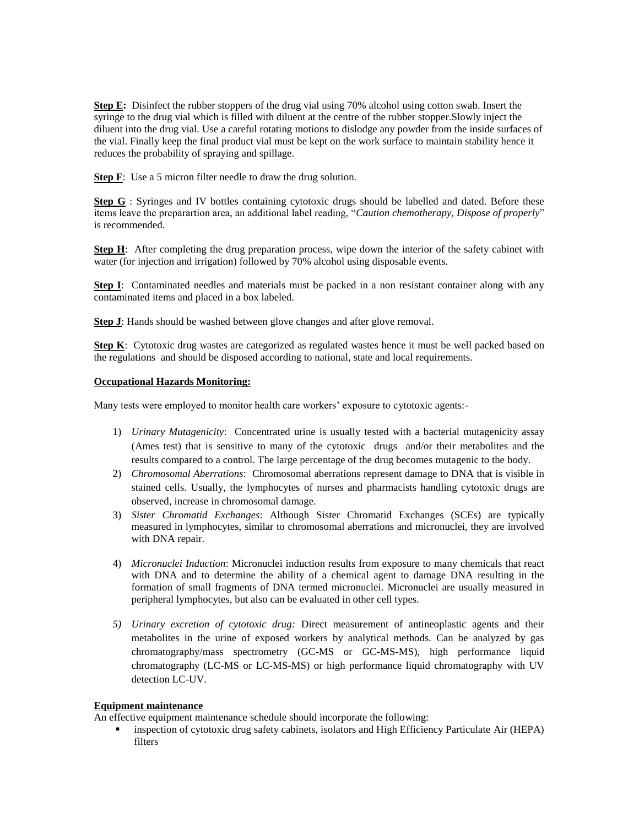**Step E:** Disinfect the rubber stoppers of the drug vial using 70% alcohol using cotton swab. Insert the syringe to the drug vial which is filled with diluent at the centre of the rubber stopper.Slowly inject the diluent into the drug vial. Use a careful rotating motions to dislodge any powder from the inside surfaces of the vial. Finally keep the final product vial must be kept on the work surface to maintain stability hence it reduces the probability of spraying and spillage.

**Step F**: Use a 5 micron filter needle to draw the drug solution.

Step G : Syringes and IV bottles containing cytotoxic drugs should be labelled and dated. Before these items leave the preparartion area, an additional label reading, "*Caution chemotherapy, Dispose of properly*" is recommended.

**Step H**: After completing the drug preparation process, wipe down the interior of the safety cabinet with water (for injection and irrigation) followed by 70% alcohol using disposable events.

**Step I**: Contaminated needles and materials must be packed in a non resistant container along with any contaminated items and placed in a box labeled.

**Step J**: Hands should be washed between glove changes and after glove removal.

**Step K**: Cytotoxic drug wastes are categorized as regulated wastes hence it must be well packed based on the regulations and should be disposed according to national, state and local requirements.

#### **Occupational Hazards Monitoring:**

Many tests were employed to monitor health care workers' exposure to cytotoxic agents:-

- 1) *Urinary Mutagenicity*: Concentrated urine is usually tested with a bacterial mutagenicity assay (Ames test) that is sensitive to many of the cytotoxic drugs and/or their metabolites and the results compared to a control. The large percentage of the drug becomes mutagenic to the body.
- 2) *Chromosomal Aberrations*: Chromosomal aberrations represent damage to DNA that is visible in stained cells. Usually, the lymphocytes of nurses and pharmacists handling cytotoxic drugs are observed, increase in chromosomal damage.
- 3) *Sister Chromatid Exchanges*: Although Sister Chromatid Exchanges (SCEs) are typically measured in lymphocytes, similar to chromosomal aberrations and micronuclei, they are involved with DNA repair.
- 4) *Micronuclei Induction*: Micronuclei induction results from exposure to many chemicals that react with DNA and to determine the ability of a chemical agent to damage DNA resulting in the formation of small fragments of DNA termed micronuclei. Micronuclei are usually measured in peripheral lymphocytes, but also can be evaluated in other cell types.
- *5) Urinary excretion of cytotoxic drug:* Direct measurement of antineoplastic agents and their metabolites in the urine of exposed workers by analytical methods. Can be analyzed by gas chromatography/mass spectrometry (GC-MS or GC-MS-MS), high performance liquid chromatography (LC-MS or LC-MS-MS) or high performance liquid chromatography with UV detection LC-UV.

### **Equipment maintenance**

An effective equipment maintenance schedule should incorporate the following:

**Example 1** inspection of cytotoxic drug safety cabinets, isolators and High Efficiency Particulate Air (HEPA) filters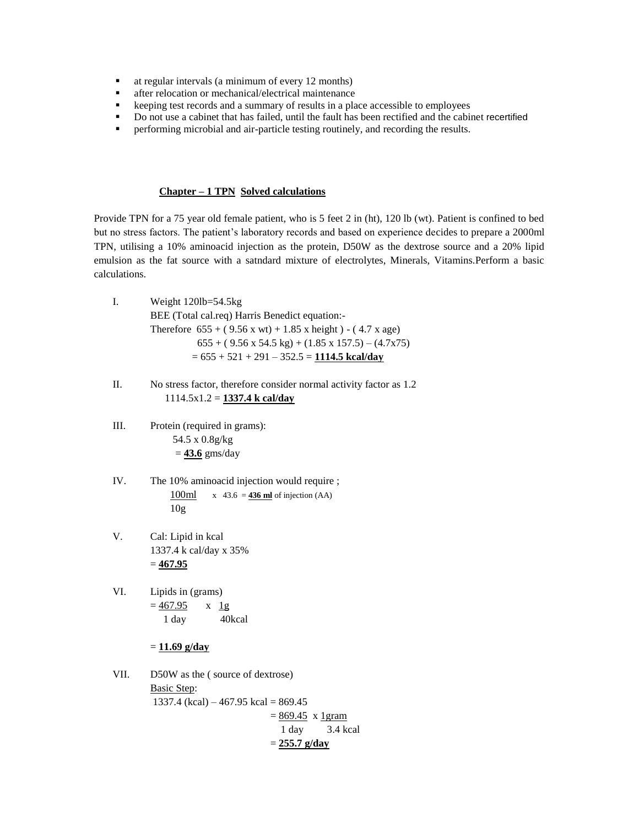- at regular intervals (a minimum of every 12 months)
- **after relocation or mechanical/electrical maintenance**
- keeping test records and a summary of results in a place accessible to employees
- Do not use a cabinet that has failed, until the fault has been rectified and the cabinet recertified
- performing microbial and air-particle testing routinely, and recording the results.

#### **Chapter – 1 TPN Solved calculations**

Provide TPN for a 75 year old female patient, who is 5 feet 2 in (ht), 120 lb (wt). Patient is confined to bed but no stress factors. The patient's laboratory records and based on experience decides to prepare a 2000ml TPN, utilising a 10% aminoacid injection as the protein, D50W as the dextrose source and a 20% lipid emulsion as the fat source with a satndard mixture of electrolytes, Minerals, Vitamins.Perform a basic calculations.

| Л. | Weight $120lb = 54.5kg$                                                                    |
|----|--------------------------------------------------------------------------------------------|
|    | BEE (Total cal.req) Harris Benedict equation:-                                             |
|    | Therefore $655 + (9.56 \times w t) + 1.85 \times \text{height}) - (4.7 \times \text{age})$ |
|    | $655 + (9.56 \times 54.5 \text{ kg}) + (1.85 \times 157.5) - (4.7 \times 75)$              |
|    | $= 655 + 521 + 291 - 352.5 = 1114.5$ kcal/dav                                              |

- II. No stress factor, therefore consider normal activity factor as 1.2 1114.5x1.2 = **1337.4 k cal/day**
- III. Protein (required in grams): 54.5 x 0.8g/kg = **43.6** gms/day
- IV. The 10% aminoacid injection would require ;  $100ml$  x 43.6 =  $436$  ml of injection (AA) 10g
- V. Cal: Lipid in kcal 1337.4 k cal/day x 35% = **467.95**
- VI. Lipids in (grams)  $= 467.95$  x 1g 1 day 40kcal

# = **11.69 g/day**

VII. D50W as the ( source of dextrose) Basic Step: 1337.4 (kcal) – 467.95 kcal = 869.45  $= 869.45$  x 1 gram 1 day 3.4 kcal = **255.7 g/day**